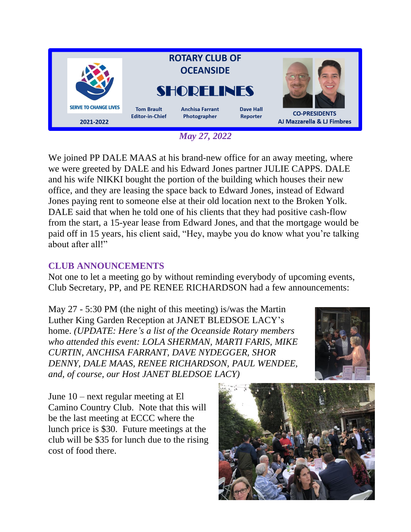

*May 27, 2022*

We joined PP DALE MAAS at his brand-new office for an away meeting, where we were greeted by DALE and his Edward Jones partner JULIE CAPPS. DALE and his wife NIKKI bought the portion of the building which houses their new office, and they are leasing the space back to Edward Jones, instead of Edward Jones paying rent to someone else at their old location next to the Broken Yolk. DALE said that when he told one of his clients that they had positive cash-flow from the start, a 15-year lease from Edward Jones, and that the mortgage would be paid off in 15 years, his client said, "Hey, maybe you do know what you're talking about after all!"

# **CLUB ANNOUNCEMENTS**

Not one to let a meeting go by without reminding everybody of upcoming events, Club Secretary, PP, and PE RENEE RICHARDSON had a few announcements:

May 27 - 5:30 PM (the night of this meeting) is/was the Martin Luther King Garden Reception at JANET BLEDSOE LACY's home. *(UPDATE: Here's a list of the Oceanside Rotary members who attended this event: LOLA SHERMAN, MARTI FARIS, MIKE CURTIN, ANCHISA FARRANT, DAVE NYDEGGER, SHOR DENNY, DALE MAAS, RENEE RICHARDSON, PAUL WENDEE, and, of course, our Host JANET BLEDSOE LACY)* 



June 10 – next regular meeting at El Camino Country Club. Note that this will be the last meeting at ECCC where the lunch price is \$30. Future meetings at the club will be \$35 for lunch due to the rising cost of food there.

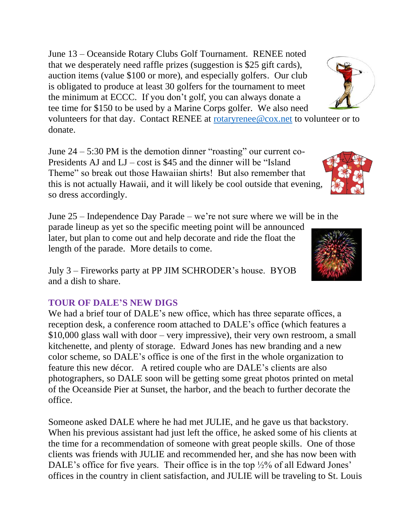June 13 – Oceanside Rotary Clubs Golf Tournament. RENEE noted that we desperately need raffle prizes (suggestion is \$25 gift cards), auction items (value \$100 or more), and especially golfers. Our club is obligated to produce at least 30 golfers for the tournament to meet the minimum at ECCC. If you don't golf, you can always donate a tee time for \$150 to be used by a Marine Corps golfer. We also need

volunteers for that day. Contact RENEE at [rotaryrenee@cox.net](mailto:rotaryrenee@cox.net) to volunteer or to donate.

June 24 – 5:30 PM is the demotion dinner "roasting" our current co-Presidents AJ and LJ – cost is \$45 and the dinner will be "Island Theme" so break out those Hawaiian shirts! But also remember that this is not actually Hawaii, and it will likely be cool outside that evening, so dress accordingly.

June 25 – Independence Day Parade – we're not sure where we will be in the parade lineup as yet so the specific meeting point will be announced

later, but plan to come out and help decorate and ride the float the length of the parade. More details to come.

July 3 – Fireworks party at PP JIM SCHRODER's house. BYOB and a dish to share.

# **TOUR OF DALE'S NEW DIGS**

We had a brief tour of DALE's new office, which has three separate offices, a reception desk, a conference room attached to DALE's office (which features a \$10,000 glass wall with door – very impressive), their very own restroom, a small kitchenette, and plenty of storage. Edward Jones has new branding and a new color scheme, so DALE's office is one of the first in the whole organization to feature this new décor. A retired couple who are DALE's clients are also photographers, so DALE soon will be getting some great photos printed on metal of the Oceanside Pier at Sunset, the harbor, and the beach to further decorate the office.

Someone asked DALE where he had met JULIE, and he gave us that backstory. When his previous assistant had just left the office, he asked some of his clients at the time for a recommendation of someone with great people skills. One of those clients was friends with JULIE and recommended her, and she has now been with DALE's office for five years. Their office is in the top  $\frac{1}{2}\%$  of all Edward Jones' offices in the country in client satisfaction, and JULIE will be traveling to St. Louis



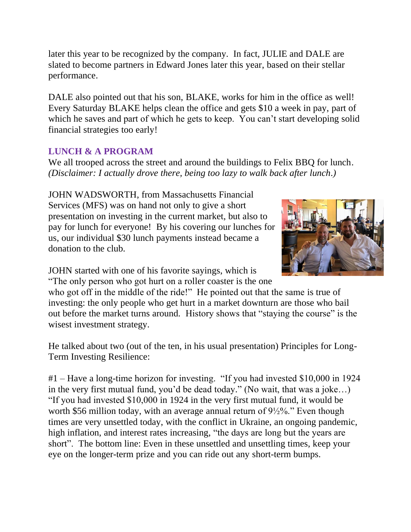later this year to be recognized by the company. In fact, JULIE and DALE are slated to become partners in Edward Jones later this year, based on their stellar performance.

DALE also pointed out that his son, BLAKE, works for him in the office as well! Every Saturday BLAKE helps clean the office and gets \$10 a week in pay, part of which he saves and part of which he gets to keep. You can't start developing solid financial strategies too early!

# **LUNCH & A PROGRAM**

We all trooped across the street and around the buildings to Felix BBQ for lunch. *(Disclaimer: I actually drove there, being too lazy to walk back after lunch*.*)* 

JOHN WADSWORTH, from Massachusetts Financial Services (MFS) was on hand not only to give a short presentation on investing in the current market, but also to pay for lunch for everyone! By his covering our lunches for us, our individual \$30 lunch payments instead became a donation to the club.



JOHN started with one of his favorite sayings, which is "The only person who got hurt on a roller coaster is the one

who got off in the middle of the ride!" He pointed out that the same is true of investing: the only people who get hurt in a market downturn are those who bail out before the market turns around. History shows that "staying the course" is the wisest investment strategy.

He talked about two (out of the ten, in his usual presentation) Principles for Long-Term Investing Resilience:

#1 – Have a long-time horizon for investing. "If you had invested \$10,000 in 1924 in the very first mutual fund, you'd be dead today." (No wait, that was a joke…) "If you had invested \$10,000 in 1924 in the very first mutual fund, it would be worth \$56 million today, with an average annual return of 9½%." Even though times are very unsettled today, with the conflict in Ukraine, an ongoing pandemic, high inflation, and interest rates increasing, "the days are long but the years are short". The bottom line: Even in these unsettled and unsettling times, keep your eye on the longer-term prize and you can ride out any short-term bumps.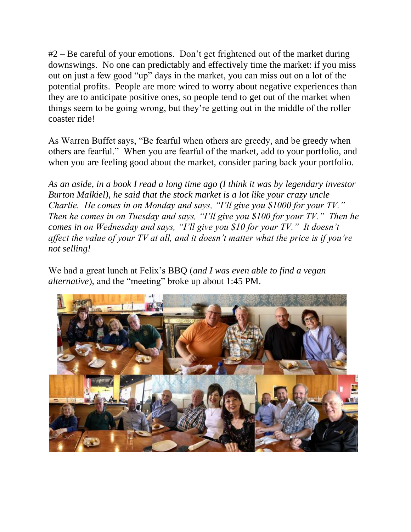$#2 - Be$  careful of your emotions. Don't get frightened out of the market during downswings. No one can predictably and effectively time the market: if you miss out on just a few good "up" days in the market, you can miss out on a lot of the potential profits. People are more wired to worry about negative experiences than they are to anticipate positive ones, so people tend to get out of the market when things seem to be going wrong, but they're getting out in the middle of the roller coaster ride!

As Warren Buffet says, "Be fearful when others are greedy, and be greedy when others are fearful." When you are fearful of the market, add to your portfolio, and when you are feeling good about the market, consider paring back your portfolio.

*As an aside, in a book I read a long time ago (I think it was by legendary investor Burton Malkiel), he said that the stock market is a lot like your crazy uncle Charlie. He comes in on Monday and says, "I'll give you \$1000 for your TV." Then he comes in on Tuesday and says, "I'll give you \$100 for your TV." Then he comes in on Wednesday and says, "I'll give you \$10 for your TV." It doesn't affect the value of your TV at all, and it doesn't matter what the price is if you're not selling!*

We had a great lunch at Felix's BBQ (*and I was even able to find a vegan alternative*), and the "meeting" broke up about 1:45 PM.

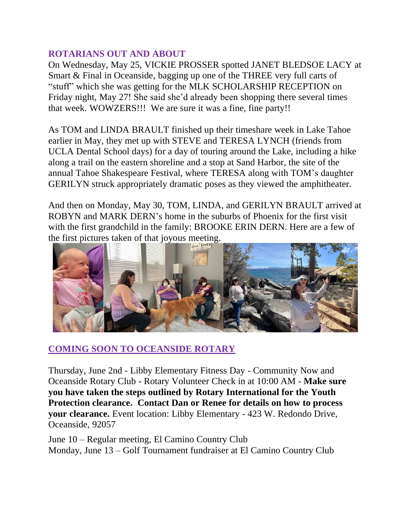## **ROTARIANS OUT AND ABOUT**

On Wednesday, May 25, VICKIE PROSSER spotted JANET BLEDSOE LACY at Smart & Final in Oceanside, bagging up one of the THREE very full carts of "stuff" which she was getting for the MLK SCHOLARSHIP RECEPTION on Friday night, May 27! She said she'd already been shopping there several times that week. WOWZERS!!! We are sure it was a fine, fine party!!

As TOM and LINDA BRAULT finished up their timeshare week in Lake Tahoe earlier in May, they met up with STEVE and TERESA LYNCH (friends from UCLA Dental School days) for a day of touring around the Lake, including a hike along a trail on the eastern shoreline and a stop at Sand Harbor, the site of the annual Tahoe Shakespeare Festival, where TERESA along with TOM's daughter GERILYN struck appropriately dramatic poses as they viewed the amphitheater.

And then on Monday, May 30, TOM, LINDA, and GERILYN BRAULT arrived at ROBYN and MARK DERN's home in the suburbs of Phoenix for the first visit with the first grandchild in the family: BROOKE ERIN DERN. Here are a few of the first pictures taken of that joyous meeting.



# **COMING SOON TO OCEANSIDE ROTARY**

Thursday, June 2nd - Libby Elementary Fitness Day - Community Now and Oceanside Rotary Club - Rotary Volunteer Check in at 10:00 AM - **Make sure you have taken the steps outlined by Rotary International for the Youth Protection clearance. Contact Dan or Renee for details on how to process your clearance.** Event location: Libby Elementary - 423 W. Redondo Drive, Oceanside, 92057

June 10 – Regular meeting, El Camino Country Club Monday, June 13 – Golf Tournament fundraiser at El Camino Country Club